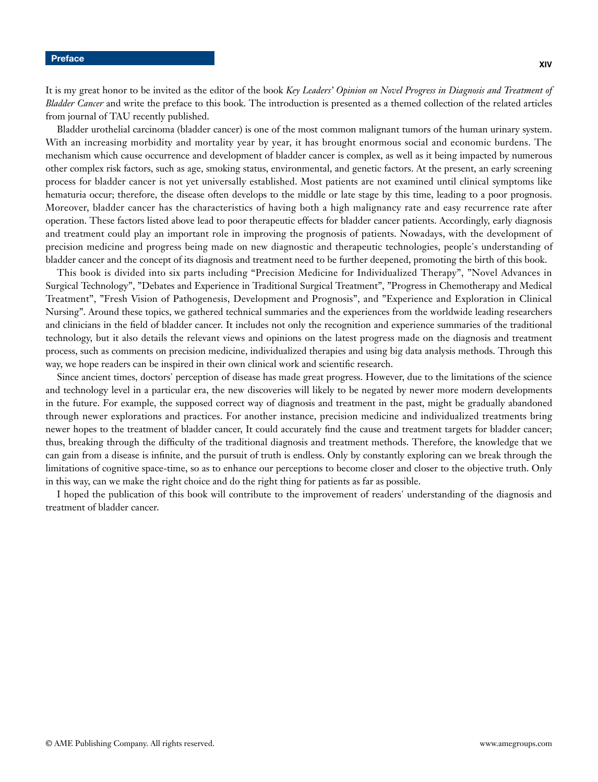**XIV**

It is my great honor to be invited as the editor of the book *Key Leaders' Opinion on Novel Progress in Diagnosis and Treatment of Bladder Cancer* and write the preface to this book. The introduction is presented as a themed collection of the related articles from journal of TAU recently published.

Bladder urothelial carcinoma (bladder cancer) is one of the most common malignant tumors of the human urinary system. With an increasing morbidity and mortality year by year, it has brought enormous social and economic burdens. The mechanism which cause occurrence and development of bladder cancer is complex, as well as it being impacted by numerous other complex risk factors, such as age, smoking status, environmental, and genetic factors. At the present, an early screening process for bladder cancer is not yet universally established. Most patients are not examined until clinical symptoms like hematuria occur; therefore, the disease often develops to the middle or late stage by this time, leading to a poor prognosis. Moreover, bladder cancer has the characteristics of having both a high malignancy rate and easy recurrence rate after operation. These factors listed above lead to poor therapeutic effects for bladder cancer patients. Accordingly, early diagnosis and treatment could play an important role in improving the prognosis of patients. Nowadays, with the development of precision medicine and progress being made on new diagnostic and therapeutic technologies, people's understanding of bladder cancer and the concept of its diagnosis and treatment need to be further deepened, promoting the birth of this book.

This book is divided into six parts including "Precision Medicine for Individualized Therapy", "Novel Advances in Surgical Technology", "Debates and Experience in Traditional Surgical Treatment", "Progress in Chemotherapy and Medical Treatment", "Fresh Vision of Pathogenesis, Development and Prognosis", and "Experience and Exploration in Clinical Nursing". Around these topics, we gathered technical summaries and the experiences from the worldwide leading researchers and clinicians in the field of bladder cancer. It includes not only the recognition and experience summaries of the traditional technology, but it also details the relevant views and opinions on the latest progress made on the diagnosis and treatment process, such as comments on precision medicine, individualized therapies and using big data analysis methods. Through this way, we hope readers can be inspired in their own clinical work and scientific research.

Since ancient times, doctors' perception of disease has made great progress. However, due to the limitations of the science and technology level in a particular era, the new discoveries will likely to be negated by newer more modern developments in the future. For example, the supposed correct way of diagnosis and treatment in the past, might be gradually abandoned through newer explorations and practices. For another instance, precision medicine and individualized treatments bring newer hopes to the treatment of bladder cancer, It could accurately find the cause and treatment targets for bladder cancer; thus, breaking through the difficulty of the traditional diagnosis and treatment methods. Therefore, the knowledge that we can gain from a disease is infinite, and the pursuit of truth is endless. Only by constantly exploring can we break through the limitations of cognitive space-time, so as to enhance our perceptions to become closer and closer to the objective truth. Only in this way, can we make the right choice and do the right thing for patients as far as possible.

I hoped the publication of this book will contribute to the improvement of readers' understanding of the diagnosis and treatment of bladder cancer.